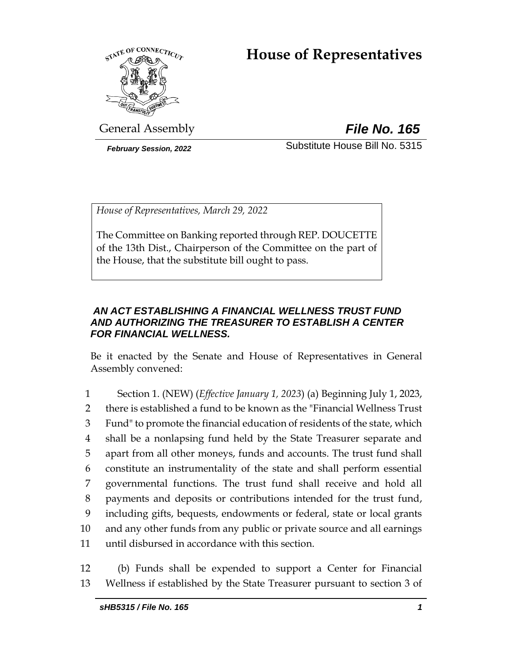# **House of Representatives**



General Assembly *File No. 165*

*February Session, 2022* Substitute House Bill No. 5315

*House of Representatives, March 29, 2022*

The Committee on Banking reported through REP. DOUCETTE of the 13th Dist., Chairperson of the Committee on the part of the House, that the substitute bill ought to pass.

# *AN ACT ESTABLISHING A FINANCIAL WELLNESS TRUST FUND AND AUTHORIZING THE TREASURER TO ESTABLISH A CENTER FOR FINANCIAL WELLNESS.*

Be it enacted by the Senate and House of Representatives in General Assembly convened:

 Section 1. (NEW) (*Effective January 1, 2023*) (a) Beginning July 1, 2023, there is established a fund to be known as the "Financial Wellness Trust Fund" to promote the financial education of residents of the state, which shall be a nonlapsing fund held by the State Treasurer separate and apart from all other moneys, funds and accounts. The trust fund shall constitute an instrumentality of the state and shall perform essential governmental functions. The trust fund shall receive and hold all payments and deposits or contributions intended for the trust fund, including gifts, bequests, endowments or federal, state or local grants and any other funds from any public or private source and all earnings until disbursed in accordance with this section.

12 (b) Funds shall be expended to support a Center for Financial 13 Wellness if established by the State Treasurer pursuant to section 3 of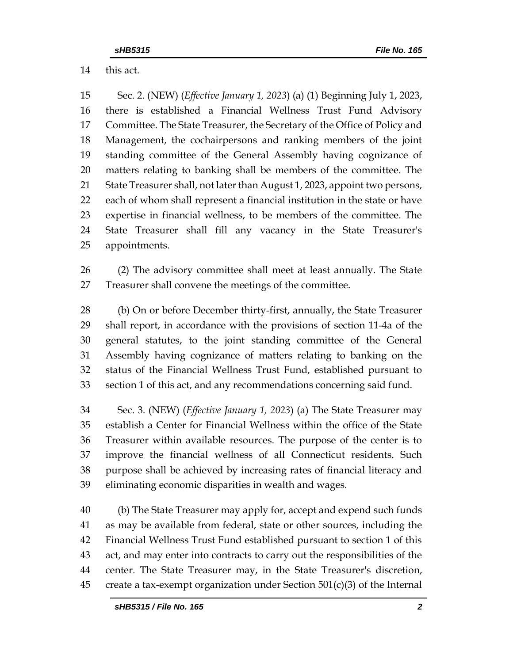this act.

 Sec. 2. (NEW) (*Effective January 1, 2023*) (a) (1) Beginning July 1, 2023, there is established a Financial Wellness Trust Fund Advisory Committee. The State Treasurer, the Secretary of the Office of Policy and Management, the cochairpersons and ranking members of the joint standing committee of the General Assembly having cognizance of matters relating to banking shall be members of the committee. The State Treasurer shall, not later than August 1, 2023, appoint two persons, each of whom shall represent a financial institution in the state or have expertise in financial wellness, to be members of the committee. The State Treasurer shall fill any vacancy in the State Treasurer's appointments.

 (2) The advisory committee shall meet at least annually. The State Treasurer shall convene the meetings of the committee.

 (b) On or before December thirty-first, annually, the State Treasurer shall report, in accordance with the provisions of section 11-4a of the general statutes, to the joint standing committee of the General Assembly having cognizance of matters relating to banking on the status of the Financial Wellness Trust Fund, established pursuant to section 1 of this act, and any recommendations concerning said fund.

 Sec. 3. (NEW) (*Effective January 1, 2023*) (a) The State Treasurer may establish a Center for Financial Wellness within the office of the State Treasurer within available resources. The purpose of the center is to improve the financial wellness of all Connecticut residents. Such purpose shall be achieved by increasing rates of financial literacy and eliminating economic disparities in wealth and wages.

 (b) The State Treasurer may apply for, accept and expend such funds as may be available from federal, state or other sources, including the Financial Wellness Trust Fund established pursuant to section 1 of this act, and may enter into contracts to carry out the responsibilities of the center. The State Treasurer may, in the State Treasurer's discretion, 45 create a tax-exempt organization under Section  $501(c)(3)$  of the Internal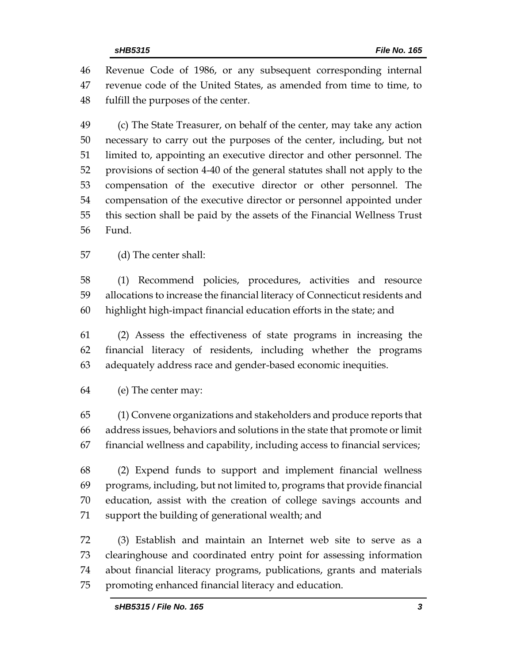Revenue Code of 1986, or any subsequent corresponding internal revenue code of the United States, as amended from time to time, to fulfill the purposes of the center.

 (c) The State Treasurer, on behalf of the center, may take any action necessary to carry out the purposes of the center, including, but not limited to, appointing an executive director and other personnel. The provisions of section 4-40 of the general statutes shall not apply to the compensation of the executive director or other personnel. The compensation of the executive director or personnel appointed under this section shall be paid by the assets of the Financial Wellness Trust Fund.

(d) The center shall:

 (1) Recommend policies, procedures, activities and resource allocations to increase the financial literacy of Connecticut residents and highlight high-impact financial education efforts in the state; and

 (2) Assess the effectiveness of state programs in increasing the financial literacy of residents, including whether the programs adequately address race and gender-based economic inequities.

(e) The center may:

 (1) Convene organizations and stakeholders and produce reports that address issues, behaviors and solutions in the state that promote or limit financial wellness and capability, including access to financial services;

 (2) Expend funds to support and implement financial wellness programs, including, but not limited to, programs that provide financial education, assist with the creation of college savings accounts and support the building of generational wealth; and

 (3) Establish and maintain an Internet web site to serve as a clearinghouse and coordinated entry point for assessing information about financial literacy programs, publications, grants and materials promoting enhanced financial literacy and education.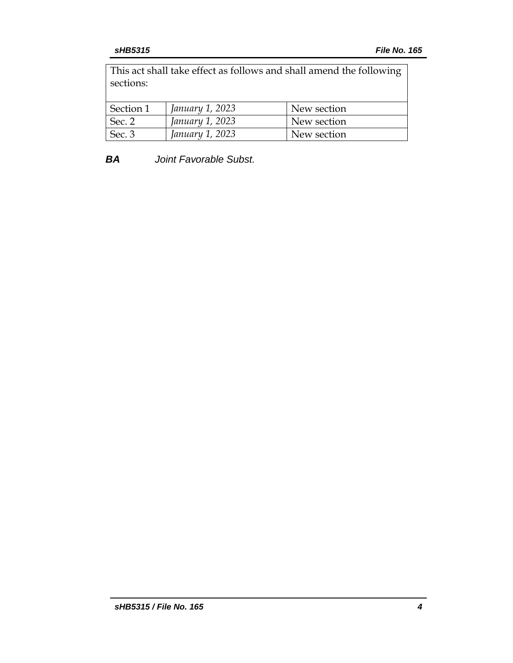This act shall take effect as follows and shall amend the following sections:

| Section 1 | January 1, 2023 | New section |
|-----------|-----------------|-------------|
| Sec. 2    | January 1, 2023 | New section |
| Sec. 3    | January 1, 2023 | New section |

*BA Joint Favorable Subst.*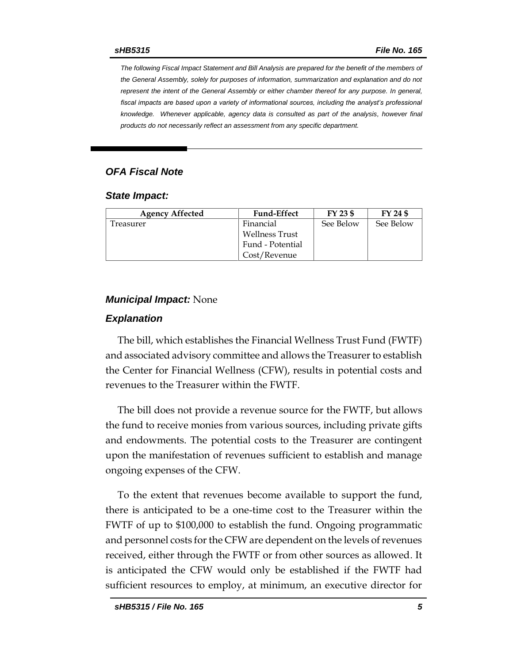*The following Fiscal Impact Statement and Bill Analysis are prepared for the benefit of the members of the General Assembly, solely for purposes of information, summarization and explanation and do not represent the intent of the General Assembly or either chamber thereof for any purpose. In general,*  fiscal impacts are based upon a variety of informational sources, including the analyst's professional *knowledge. Whenever applicable, agency data is consulted as part of the analysis, however final products do not necessarily reflect an assessment from any specific department.*

## *OFA Fiscal Note*

#### *State Impact:*

| <b>Agency Affected</b> | <b>Fund-Effect</b> | FY 23 \$  | FY 24 \$  |
|------------------------|--------------------|-----------|-----------|
| reasurer               | Financial          | See Below | See Below |
|                        | Wellness Trust     |           |           |
|                        | Fund - Potential   |           |           |
|                        | Cost/Revenue       |           |           |

### *Municipal Impact:* None

#### *Explanation*

The bill, which establishes the Financial Wellness Trust Fund (FWTF) and associated advisory committee and allows the Treasurer to establish the Center for Financial Wellness (CFW), results in potential costs and revenues to the Treasurer within the FWTF.

The bill does not provide a revenue source for the FWTF, but allows the fund to receive monies from various sources, including private gifts and endowments. The potential costs to the Treasurer are contingent upon the manifestation of revenues sufficient to establish and manage ongoing expenses of the CFW.

To the extent that revenues become available to support the fund, there is anticipated to be a one-time cost to the Treasurer within the FWTF of up to \$100,000 to establish the fund. Ongoing programmatic and personnel costs for the CFW are dependent on the levels of revenues received, either through the FWTF or from other sources as allowed. It is anticipated the CFW would only be established if the FWTF had sufficient resources to employ, at minimum, an executive director for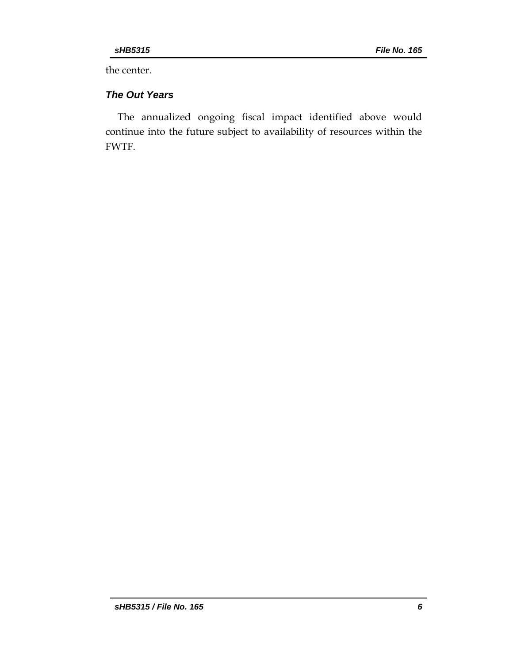the center.

# *The Out Years*

The annualized ongoing fiscal impact identified above would continue into the future subject to availability of resources within the FWTF.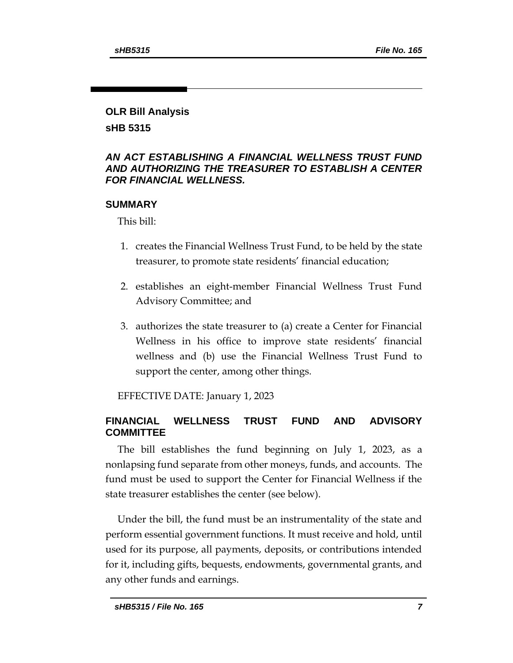# **OLR Bill Analysis**

**sHB 5315**

## *AN ACT ESTABLISHING A FINANCIAL WELLNESS TRUST FUND AND AUTHORIZING THE TREASURER TO ESTABLISH A CENTER FOR FINANCIAL WELLNESS.*

## **SUMMARY**

This bill:

- 1. creates the Financial Wellness Trust Fund, to be held by the state treasurer, to promote state residents' financial education;
- 2. establishes an eight-member Financial Wellness Trust Fund Advisory Committee; and
- 3. authorizes the state treasurer to (a) create a Center for Financial Wellness in his office to improve state residents' financial wellness and (b) use the Financial Wellness Trust Fund to support the center, among other things.

EFFECTIVE DATE: January 1, 2023

## **FINANCIAL WELLNESS TRUST FUND AND ADVISORY COMMITTEE**

The bill establishes the fund beginning on July 1, 2023, as a nonlapsing fund separate from other moneys, funds, and accounts. The fund must be used to support the Center for Financial Wellness if the state treasurer establishes the center (see below).

Under the bill, the fund must be an instrumentality of the state and perform essential government functions. It must receive and hold, until used for its purpose, all payments, deposits, or contributions intended for it, including gifts, bequests, endowments, governmental grants, and any other funds and earnings.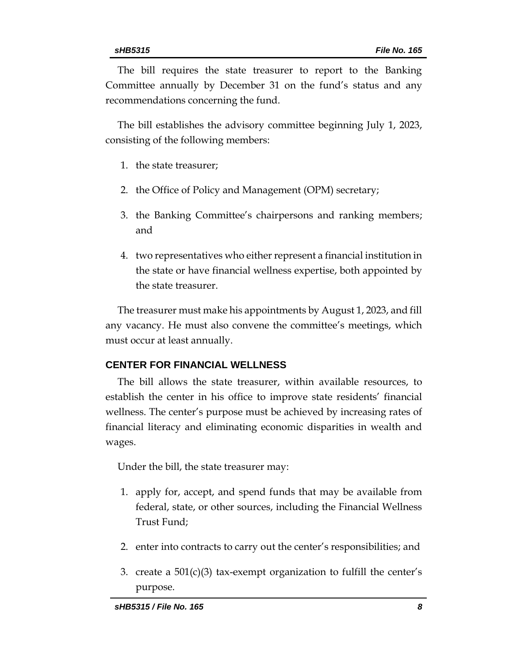The bill requires the state treasurer to report to the Banking Committee annually by December 31 on the fund's status and any recommendations concerning the fund.

The bill establishes the advisory committee beginning July 1, 2023, consisting of the following members:

- 1. the state treasurer;
- 2. the Office of Policy and Management (OPM) secretary;
- 3. the Banking Committee's chairpersons and ranking members; and
- 4. two representatives who either represent a financial institution in the state or have financial wellness expertise, both appointed by the state treasurer.

The treasurer must make his appointments by August 1, 2023, and fill any vacancy. He must also convene the committee's meetings, which must occur at least annually.

### **CENTER FOR FINANCIAL WELLNESS**

The bill allows the state treasurer, within available resources, to establish the center in his office to improve state residents' financial wellness. The center's purpose must be achieved by increasing rates of financial literacy and eliminating economic disparities in wealth and wages.

Under the bill, the state treasurer may:

- 1. apply for, accept, and spend funds that may be available from federal, state, or other sources, including the Financial Wellness Trust Fund;
- 2. enter into contracts to carry out the center's responsibilities; and
- 3. create a  $501(c)(3)$  tax-exempt organization to fulfill the center's purpose.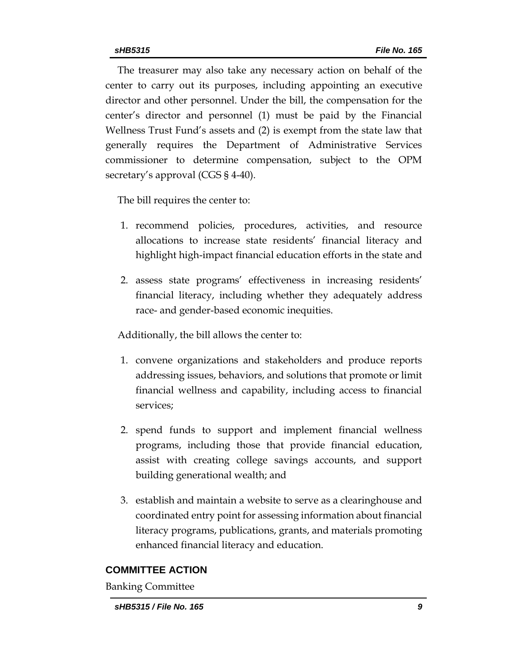The treasurer may also take any necessary action on behalf of the center to carry out its purposes, including appointing an executive director and other personnel. Under the bill, the compensation for the center's director and personnel (1) must be paid by the Financial Wellness Trust Fund's assets and (2) is exempt from the state law that generally requires the Department of Administrative Services commissioner to determine compensation, subject to the OPM secretary's approval (CGS § 4-40).

The bill requires the center to:

- 1. recommend policies, procedures, activities, and resource allocations to increase state residents' financial literacy and highlight high-impact financial education efforts in the state and
- 2. assess state programs' effectiveness in increasing residents' financial literacy, including whether they adequately address race- and gender-based economic inequities.

Additionally, the bill allows the center to:

- 1. convene organizations and stakeholders and produce reports addressing issues, behaviors, and solutions that promote or limit financial wellness and capability, including access to financial services;
- 2. spend funds to support and implement financial wellness programs, including those that provide financial education, assist with creating college savings accounts, and support building generational wealth; and
- 3. establish and maintain a website to serve as a clearinghouse and coordinated entry point for assessing information about financial literacy programs, publications, grants, and materials promoting enhanced financial literacy and education.

## **COMMITTEE ACTION**

Banking Committee